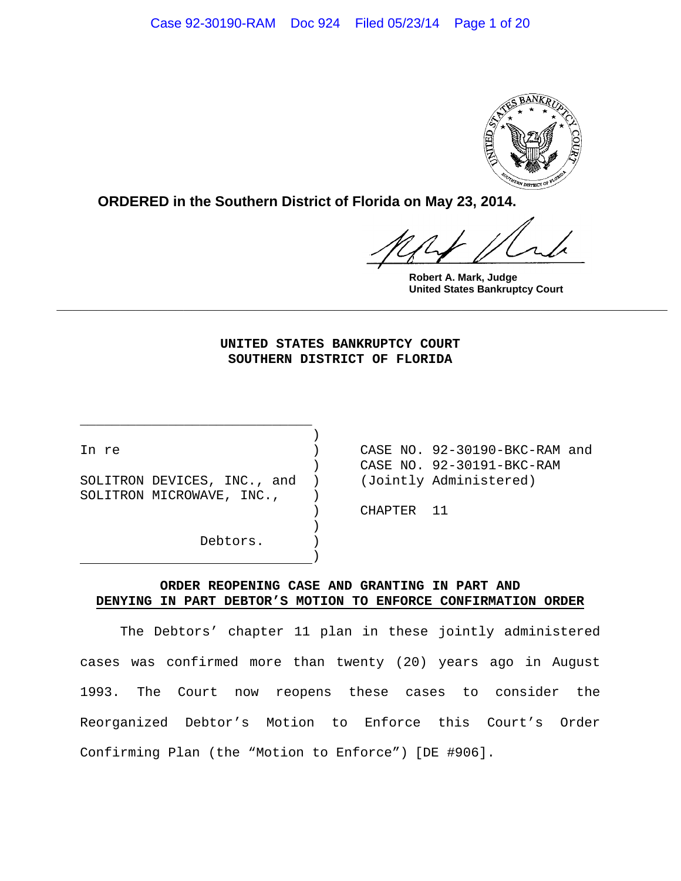

**ORDERED in the Southern District of Florida on May 23, 2014.**

**Robert A. Mark, Judge United States Bankruptcy Court**

## **UNITED STATES BANKRUPTCY COURT SOUTHERN DISTRICT OF FLORIDA**

**\_\_\_\_\_\_\_\_\_\_\_\_\_\_\_\_\_\_\_\_\_\_\_\_\_\_\_\_\_\_\_\_\_\_\_\_\_\_\_\_\_\_\_\_\_\_\_\_\_\_\_\_\_\_\_\_\_\_\_\_\_\_\_\_\_\_\_\_\_\_\_\_\_\_\_\_\_**

SOLITRON DEVICES, INC., and ) (Jointly Administered) SOLITRON MICROWAVE, INC.,  $)$ 

)

)

\_\_\_\_\_\_\_\_\_\_\_\_\_\_\_\_\_\_\_\_\_\_\_\_\_\_\_\_\_ )

Debtors. )

In re ) CASE NO. 92-30190-BKC-RAM and ) CASE NO. 92-30191-BKC-RAM

) CHAPTER 11

## **ORDER REOPENING CASE AND GRANTING IN PART AND DENYING IN PART DEBTOR'S MOTION TO ENFORCE CONFIRMATION ORDER**

The Debtors' chapter 11 plan in these jointly administered cases was confirmed more than twenty (20) years ago in August 1993. The Court now reopens these cases to consider the Reorganized Debtor's Motion to Enforce this Court's Order Confirming Plan (the "Motion to Enforce") [DE #906].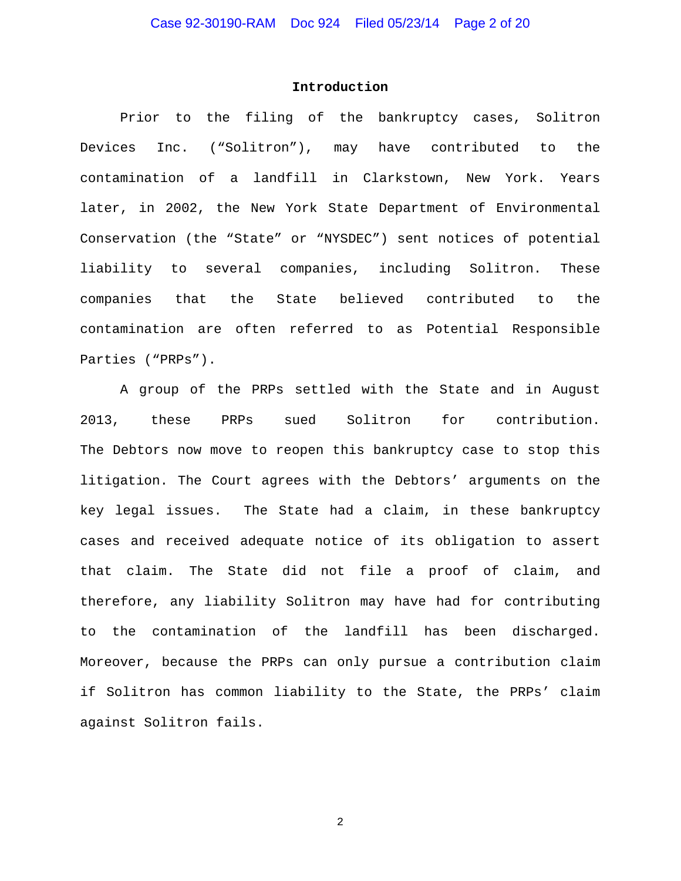#### **Introduction**

Prior to the filing of the bankruptcy cases, Solitron Devices Inc. ("Solitron"), may have contributed to the contamination of a landfill in Clarkstown, New York. Years later, in 2002, the New York State Department of Environmental Conservation (the "State" or "NYSDEC") sent notices of potential liability to several companies, including Solitron. These companies that the State believed contributed to the contamination are often referred to as Potential Responsible Parties ("PRPs").

A group of the PRPs settled with the State and in August 2013, these PRPs sued Solitron for contribution. The Debtors now move to reopen this bankruptcy case to stop this litigation. The Court agrees with the Debtors' arguments on the key legal issues. The State had a claim, in these bankruptcy cases and received adequate notice of its obligation to assert that claim. The State did not file a proof of claim, and therefore, any liability Solitron may have had for contributing to the contamination of the landfill has been discharged. Moreover, because the PRPs can only pursue a contribution claim if Solitron has common liability to the State, the PRPs' claim against Solitron fails.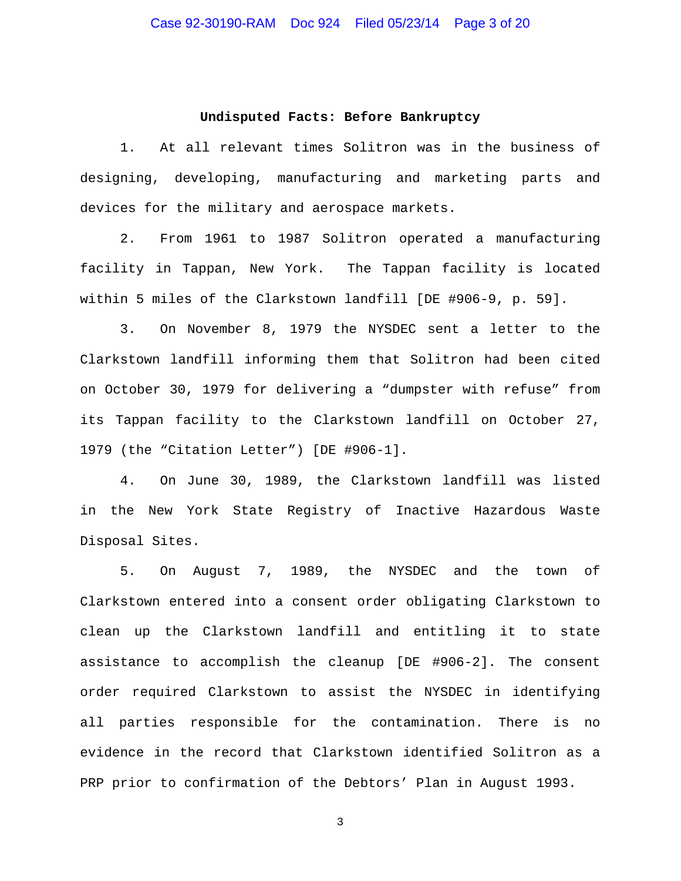#### **Undisputed Facts: Before Bankruptcy**

1. At all relevant times Solitron was in the business of designing, developing, manufacturing and marketing parts and devices for the military and aerospace markets.

2. From 1961 to 1987 Solitron operated a manufacturing facility in Tappan, New York. The Tappan facility is located within 5 miles of the Clarkstown landfill [DE #906-9, p. 59].

3. On November 8, 1979 the NYSDEC sent a letter to the Clarkstown landfill informing them that Solitron had been cited on October 30, 1979 for delivering a "dumpster with refuse" from its Tappan facility to the Clarkstown landfill on October 27, 1979 (the "Citation Letter") [DE #906-1].

4. On June 30, 1989, the Clarkstown landfill was listed in the New York State Registry of Inactive Hazardous Waste Disposal Sites.

5. On August 7, 1989, the NYSDEC and the town of Clarkstown entered into a consent order obligating Clarkstown to clean up the Clarkstown landfill and entitling it to state assistance to accomplish the cleanup [DE #906-2]. The consent order required Clarkstown to assist the NYSDEC in identifying all parties responsible for the contamination. There is no evidence in the record that Clarkstown identified Solitron as a PRP prior to confirmation of the Debtors' Plan in August 1993.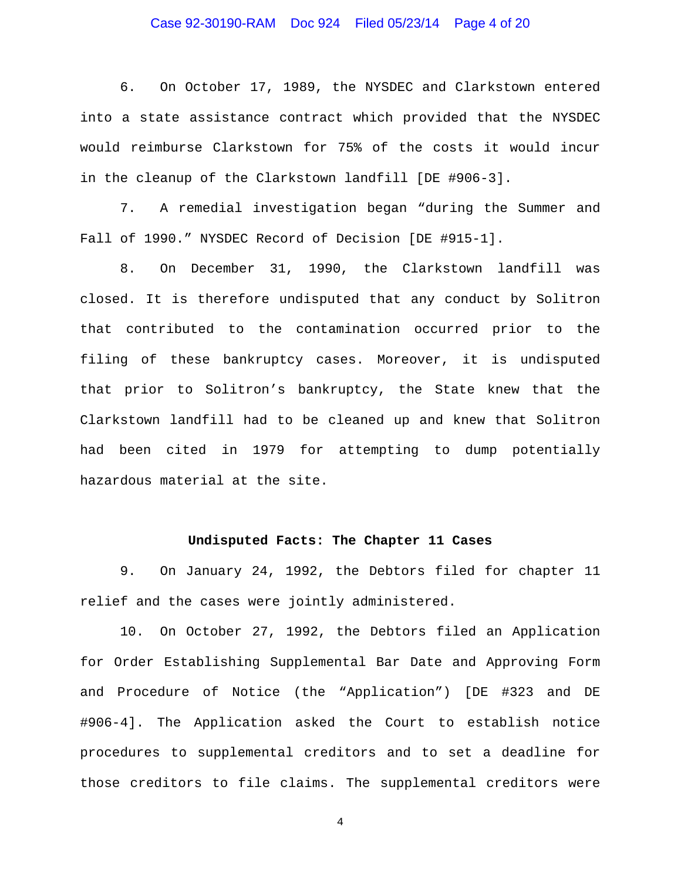# Case 92-30190-RAM Doc 924 Filed 05/23/14 Page 4 of 20

6. On October 17, 1989, the NYSDEC and Clarkstown entered into a state assistance contract which provided that the NYSDEC would reimburse Clarkstown for 75% of the costs it would incur in the cleanup of the Clarkstown landfill [DE #906-3].

7. A remedial investigation began "during the Summer and Fall of 1990." NYSDEC Record of Decision [DE #915-1].

8. On December 31, 1990, the Clarkstown landfill was closed. It is therefore undisputed that any conduct by Solitron that contributed to the contamination occurred prior to the filing of these bankruptcy cases. Moreover, it is undisputed that prior to Solitron's bankruptcy, the State knew that the Clarkstown landfill had to be cleaned up and knew that Solitron had been cited in 1979 for attempting to dump potentially hazardous material at the site.

#### **Undisputed Facts: The Chapter 11 Cases**

9. On January 24, 1992, the Debtors filed for chapter 11 relief and the cases were jointly administered.

10. On October 27, 1992, the Debtors filed an Application for Order Establishing Supplemental Bar Date and Approving Form and Procedure of Notice (the "Application") [DE #323 and DE #906-4]. The Application asked the Court to establish notice procedures to supplemental creditors and to set a deadline for those creditors to file claims. The supplemental creditors were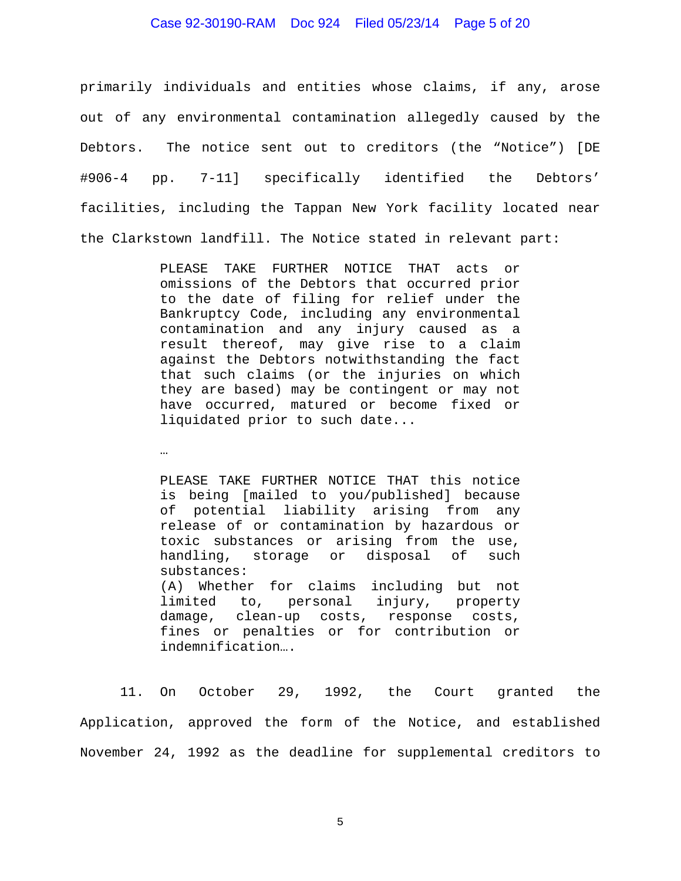## Case 92-30190-RAM Doc 924 Filed 05/23/14 Page 5 of 20

primarily individuals and entities whose claims, if any, arose out of any environmental contamination allegedly caused by the Debtors. The notice sent out to creditors (the "Notice") [DE #906-4 pp. 7-11] specifically identified the Debtors' facilities, including the Tappan New York facility located near the Clarkstown landfill. The Notice stated in relevant part:

> PLEASE TAKE FURTHER NOTICE THAT acts or omissions of the Debtors that occurred prior to the date of filing for relief under the Bankruptcy Code, including any environmental contamination and any injury caused as a result thereof, may give rise to a claim against the Debtors notwithstanding the fact that such claims (or the injuries on which they are based) may be contingent or may not have occurred, matured or become fixed or liquidated prior to such date...

…

PLEASE TAKE FURTHER NOTICE THAT this notice is being [mailed to you/published] because of potential liability arising from any release of or contamination by hazardous or toxic substances or arising from the use, handling, storage or disposal of such substances: (A) Whether for claims including but not limited to, personal injury, property damage, clean-up costs, response costs, fines or penalties or for contribution or indemnification….

11. On October 29, 1992, the Court granted the Application, approved the form of the Notice, and established November 24, 1992 as the deadline for supplemental creditors to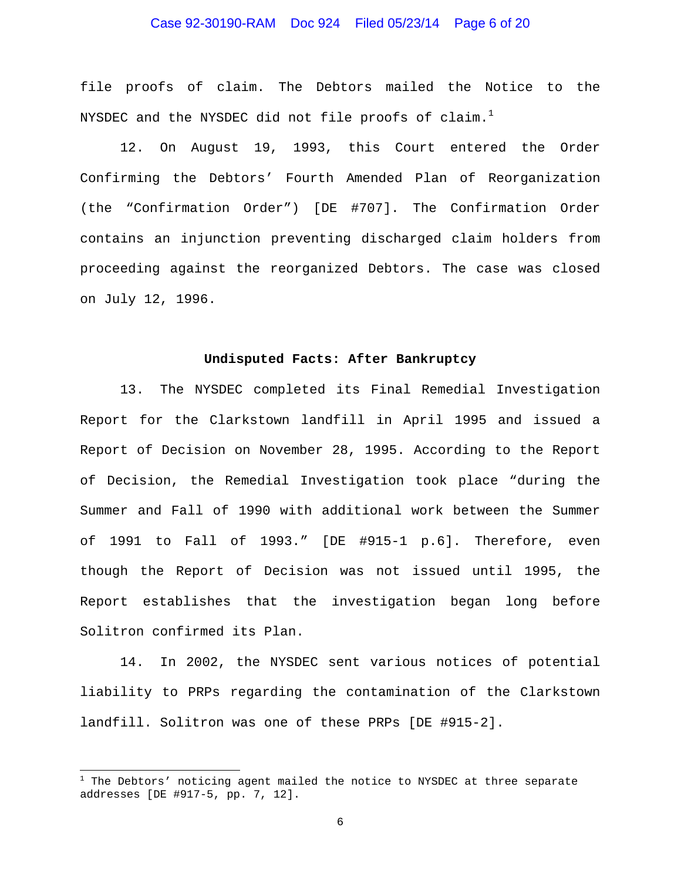# Case 92-30190-RAM Doc 924 Filed 05/23/14 Page 6 of 20

file proofs of claim. The Debtors mailed the Notice to the NYSDEC and the NYSDEC did not file proofs of claim. $^1$ 

12. On August 19, 1993, this Court entered the Order Confirming the Debtors' Fourth Amended Plan of Reorganization (the "Confirmation Order") [DE #707]. The Confirmation Order contains an injunction preventing discharged claim holders from proceeding against the reorganized Debtors. The case was closed on July 12, 1996.

#### **Undisputed Facts: After Bankruptcy**

13. The NYSDEC completed its Final Remedial Investigation Report for the Clarkstown landfill in April 1995 and issued a Report of Decision on November 28, 1995. According to the Report of Decision, the Remedial Investigation took place "during the Summer and Fall of 1990 with additional work between the Summer of 1991 to Fall of 1993." [DE #915-1 p.6]. Therefore, even though the Report of Decision was not issued until 1995, the Report establishes that the investigation began long before Solitron confirmed its Plan.

14. In 2002, the NYSDEC sent various notices of potential liability to PRPs regarding the contamination of the Clarkstown landfill. Solitron was one of these PRPs [DE #915-2].

i

<sup>&</sup>lt;sup>1</sup> The Debtors' noticing agent mailed the notice to NYSDEC at three separate addresses [DE #917-5, pp. 7, 12].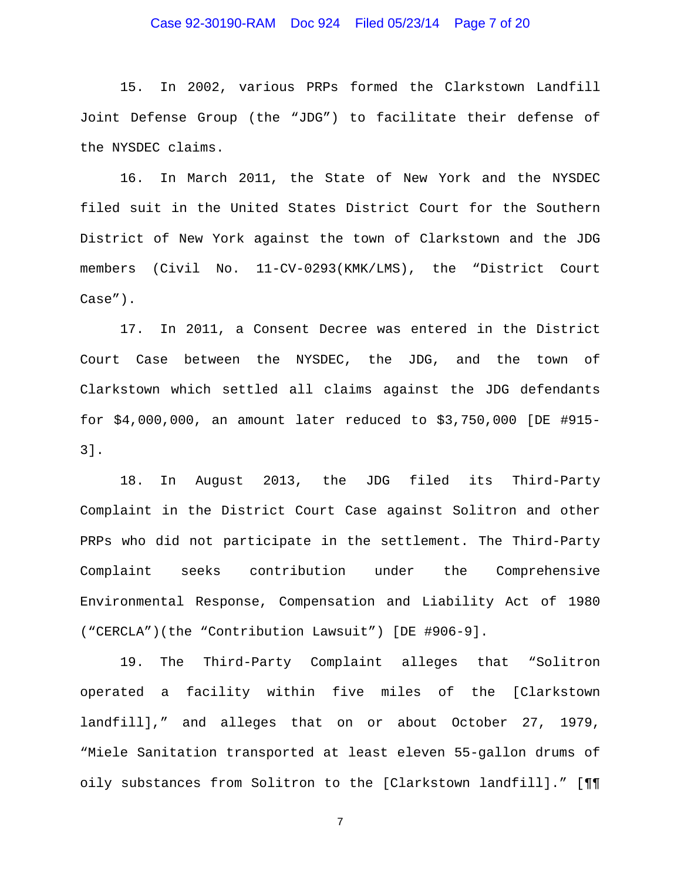## Case 92-30190-RAM Doc 924 Filed 05/23/14 Page 7 of 20

15. In 2002, various PRPs formed the Clarkstown Landfill Joint Defense Group (the "JDG") to facilitate their defense of the NYSDEC claims.

16. In March 2011, the State of New York and the NYSDEC filed suit in the United States District Court for the Southern District of New York against the town of Clarkstown and the JDG members (Civil No. 11-CV-0293(KMK/LMS), the "District Court Case").

17. In 2011, a Consent Decree was entered in the District Court Case between the NYSDEC, the JDG, and the town of Clarkstown which settled all claims against the JDG defendants for \$4,000,000, an amount later reduced to \$3,750,000 [DE #915- 3].

18. In August 2013, the JDG filed its Third-Party Complaint in the District Court Case against Solitron and other PRPs who did not participate in the settlement. The Third-Party Complaint seeks contribution under the Comprehensive Environmental Response, Compensation and Liability Act of 1980 ("CERCLA")(the "Contribution Lawsuit") [DE #906-9].

19. The Third-Party Complaint alleges that "Solitron operated a facility within five miles of the [Clarkstown landfill]," and alleges that on or about October 27, 1979, "Miele Sanitation transported at least eleven 55-gallon drums of oily substances from Solitron to the [Clarkstown landfill]." [¶¶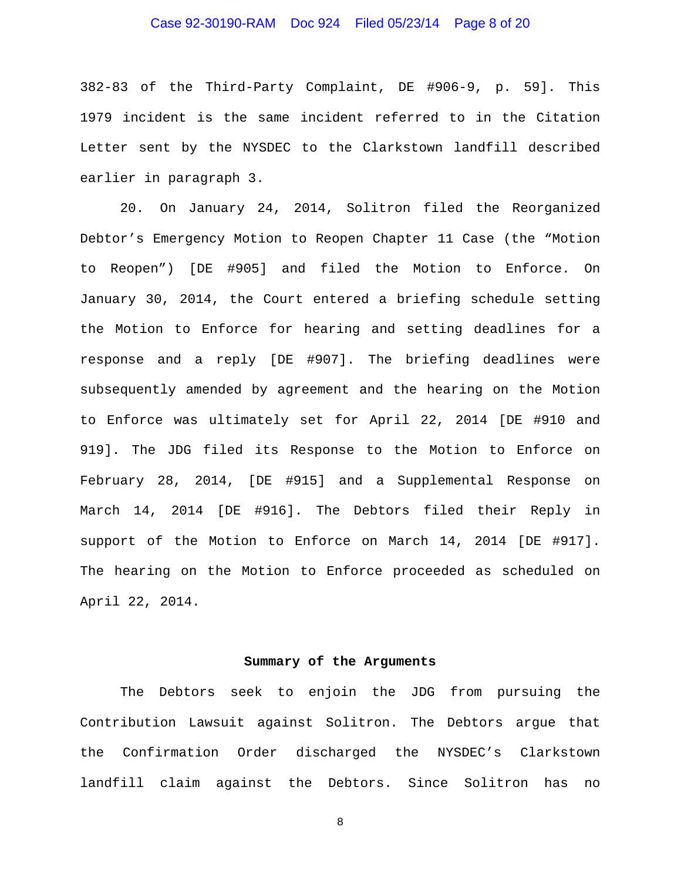## Case 92-30190-RAM Doc 924 Filed 05/23/14 Page 8 of 20

382-83 of the Third-Party Complaint, DE #906-9, p. 59]. This 1979 incident is the same incident referred to in the Citation Letter sent by the NYSDEC to the Clarkstown landfill described earlier in paragraph 3.

20. On January 24, 2014, Solitron filed the Reorganized Debtor's Emergency Motion to Reopen Chapter 11 Case (the "Motion to Reopen") [DE #905] and filed the Motion to Enforce. On January 30, 2014, the Court entered a briefing schedule setting the Motion to Enforce for hearing and setting deadlines for a response and a reply [DE #907]. The briefing deadlines were subsequently amended by agreement and the hearing on the Motion to Enforce was ultimately set for April 22, 2014 [DE #910 and 919]. The JDG filed its Response to the Motion to Enforce on February 28, 2014, [DE #915] and a Supplemental Response on March 14, 2014 [DE #916]. The Debtors filed their Reply in support of the Motion to Enforce on March 14, 2014 [DE #917]. The hearing on the Motion to Enforce proceeded as scheduled on April 22, 2014.

#### **Summary of the Arguments**

The Debtors seek to enjoin the JDG from pursuing the Contribution Lawsuit against Solitron. The Debtors argue that the Confirmation Order discharged the NYSDEC's Clarkstown landfill claim against the Debtors. Since Solitron has no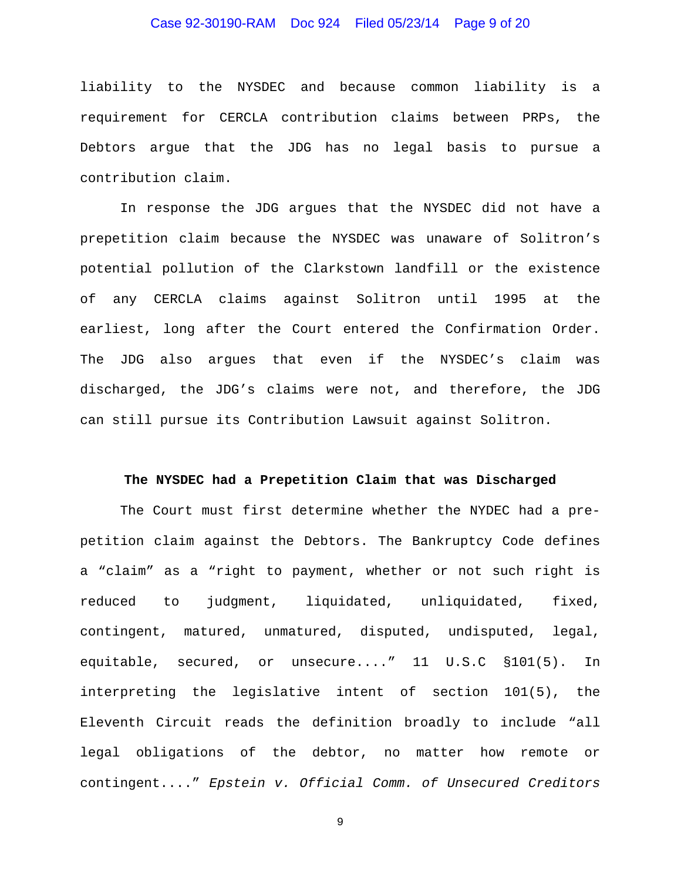# Case 92-30190-RAM Doc 924 Filed 05/23/14 Page 9 of 20

liability to the NYSDEC and because common liability is a requirement for CERCLA contribution claims between PRPs, the Debtors argue that the JDG has no legal basis to pursue a contribution claim.

In response the JDG argues that the NYSDEC did not have a prepetition claim because the NYSDEC was unaware of Solitron's potential pollution of the Clarkstown landfill or the existence of any CERCLA claims against Solitron until 1995 at the earliest, long after the Court entered the Confirmation Order. The JDG also argues that even if the NYSDEC's claim was discharged, the JDG's claims were not, and therefore, the JDG can still pursue its Contribution Lawsuit against Solitron.

#### **The NYSDEC had a Prepetition Claim that was Discharged**

The Court must first determine whether the NYDEC had a prepetition claim against the Debtors. The Bankruptcy Code defines a "claim" as a "right to payment, whether or not such right is reduced to judgment, liquidated, unliquidated, fixed, contingent, matured, unmatured, disputed, undisputed, legal, equitable, secured, or unsecure...." 11 U.S.C §101(5). In interpreting the legislative intent of section 101(5), the Eleventh Circuit reads the definition broadly to include "all legal obligations of the debtor, no matter how remote or contingent...." *Epstein v. Official Comm. of Unsecured Creditors*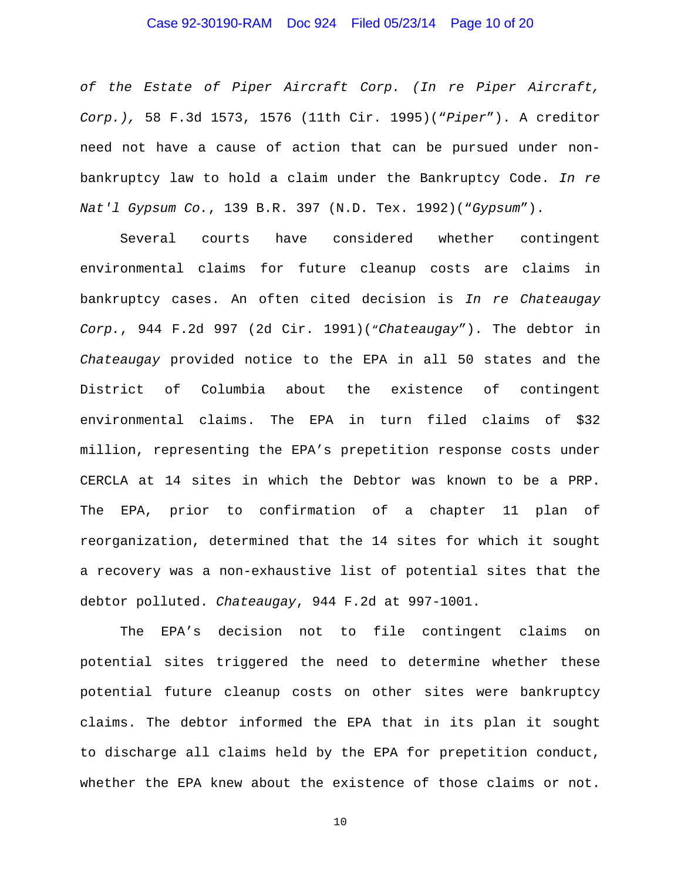## Case 92-30190-RAM Doc 924 Filed 05/23/14 Page 10 of 20

*of the Estate of Piper Aircraft Corp. (In re Piper Aircraft, Corp.),* 58 F.3d 1573, 1576 (11th Cir. 1995)("*Piper*"). A creditor need not have a cause of action that can be pursued under nonbankruptcy law to hold a claim under the Bankruptcy Code. *In re Nat'l Gypsum Co.*, 139 B.R. 397 (N.D. Tex. 1992)("*Gypsum*").

Several courts have considered whether contingent environmental claims for future cleanup costs are claims in bankruptcy cases. An often cited decision is *In re Chateaugay Corp.*, 944 F.2d 997 (2d Cir. 1991)("*Chateaugay*"). The debtor in *Chateaugay* provided notice to the EPA in all 50 states and the District of Columbia about the existence of contingent environmental claims. The EPA in turn filed claims of \$32 million, representing the EPA's prepetition response costs under CERCLA at 14 sites in which the Debtor was known to be a PRP. The EPA, prior to confirmation of a chapter 11 plan of reorganization, determined that the 14 sites for which it sought a recovery was a non-exhaustive list of potential sites that the debtor polluted. *Chateaugay*, 944 F.2d at 997-1001.

The EPA's decision not to file contingent claims on potential sites triggered the need to determine whether these potential future cleanup costs on other sites were bankruptcy claims. The debtor informed the EPA that in its plan it sought to discharge all claims held by the EPA for prepetition conduct, whether the EPA knew about the existence of those claims or not.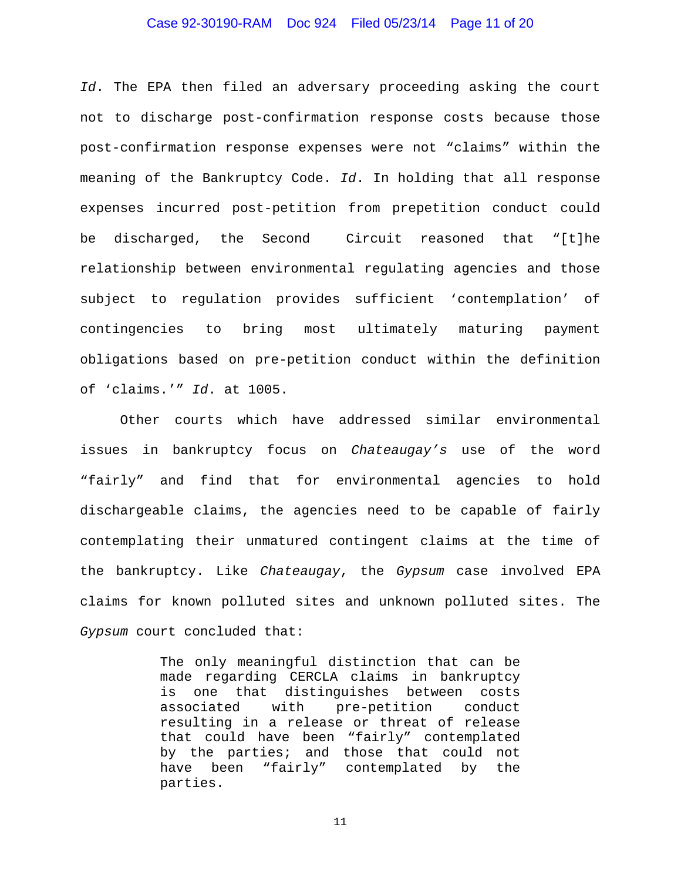## Case 92-30190-RAM Doc 924 Filed 05/23/14 Page 11 of 20

*Id*. The EPA then filed an adversary proceeding asking the court not to discharge post-confirmation response costs because those post-confirmation response expenses were not "claims" within the meaning of the Bankruptcy Code. *Id*. In holding that all response expenses incurred post-petition from prepetition conduct could be discharged, the Second Circuit reasoned that "[t]he relationship between environmental regulating agencies and those subject to regulation provides sufficient 'contemplation' of contingencies to bring most ultimately maturing payment obligations based on pre-petition conduct within the definition of 'claims.'" *Id*. at 1005.

Other courts which have addressed similar environmental issues in bankruptcy focus on *Chateaugay's* use of the word "fairly" and find that for environmental agencies to hold dischargeable claims, the agencies need to be capable of fairly contemplating their unmatured contingent claims at the time of the bankruptcy. Like *Chateaugay*, the *Gypsum* case involved EPA claims for known polluted sites and unknown polluted sites. The *Gypsum* court concluded that:

> The only meaningful distinction that can be made regarding CERCLA claims in bankruptcy is one that distinguishes between costs associated with pre-petition conduct resulting in a release or threat of release that could have been "fairly" contemplated by the parties; and those that could not have been "fairly" contemplated by the parties.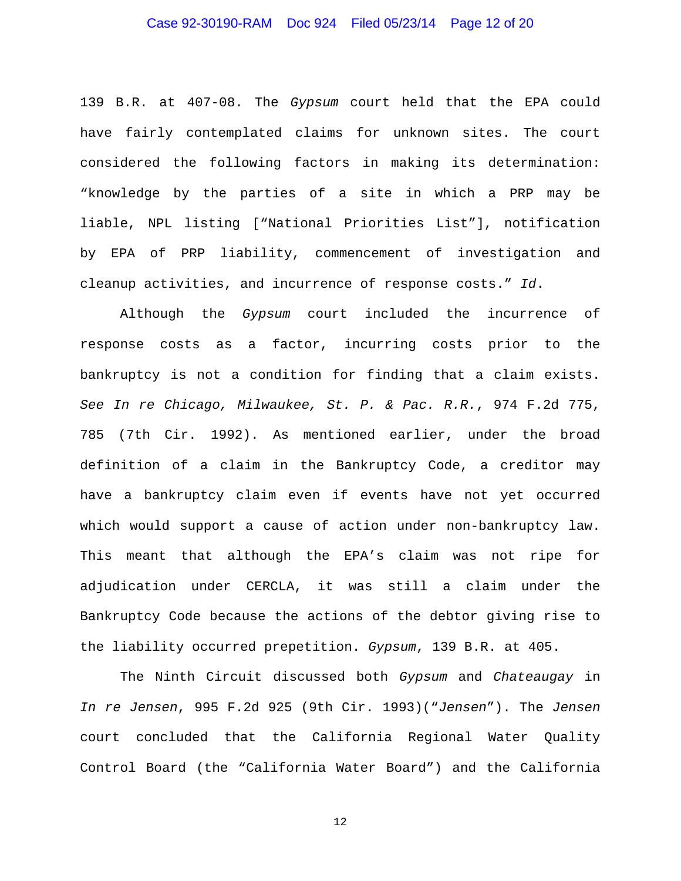## Case 92-30190-RAM Doc 924 Filed 05/23/14 Page 12 of 20

139 B.R. at 407-08. The *Gypsum* court held that the EPA could have fairly contemplated claims for unknown sites. The court considered the following factors in making its determination: "knowledge by the parties of a site in which a PRP may be liable, NPL listing ["National Priorities List"], notification by EPA of PRP liability, commencement of investigation and cleanup activities, and incurrence of response costs." *Id*.

Although the *Gypsum* court included the incurrence of response costs as a factor, incurring costs prior to the bankruptcy is not a condition for finding that a claim exists. *See In re Chicago, Milwaukee, St. P. & Pac. R.R.*, 974 F.2d 775, 785 (7th Cir. 1992). As mentioned earlier, under the broad definition of a claim in the Bankruptcy Code, a creditor may have a bankruptcy claim even if events have not yet occurred which would support a cause of action under non-bankruptcy law. This meant that although the EPA's claim was not ripe for adjudication under CERCLA, it was still a claim under the Bankruptcy Code because the actions of the debtor giving rise to the liability occurred prepetition. *Gypsum*, 139 B.R. at 405.

The Ninth Circuit discussed both *Gypsum* and *Chateaugay* in *In re Jensen*, 995 F.2d 925 (9th Cir. 1993)("*Jensen*"). The *Jensen* court concluded that the California Regional Water Quality Control Board (the "California Water Board") and the California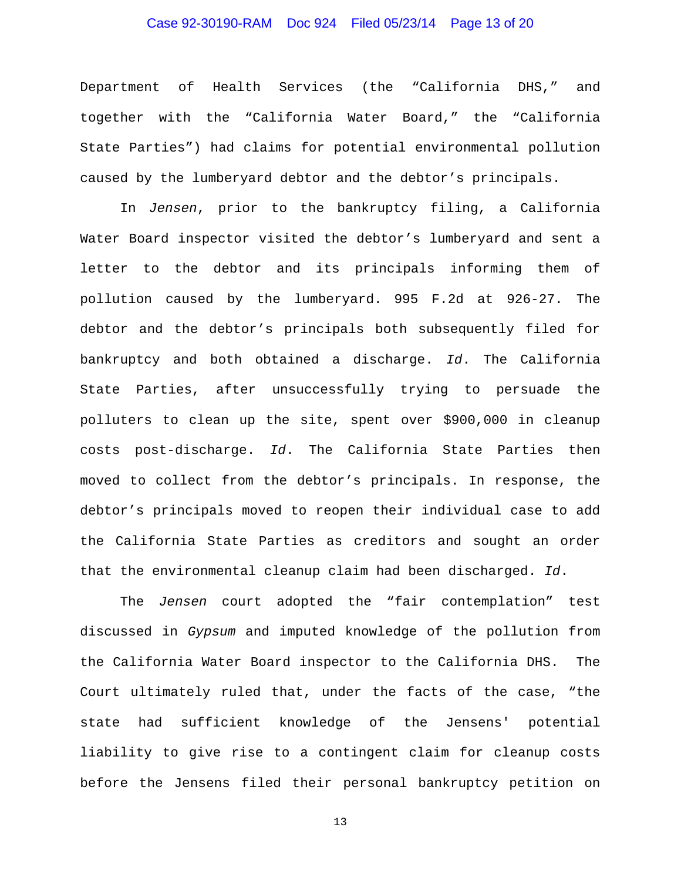## Case 92-30190-RAM Doc 924 Filed 05/23/14 Page 13 of 20

Department of Health Services (the "California DHS," and together with the "California Water Board," the "California State Parties") had claims for potential environmental pollution caused by the lumberyard debtor and the debtor's principals.

In *Jensen*, prior to the bankruptcy filing, a California Water Board inspector visited the debtor's lumberyard and sent a letter to the debtor and its principals informing them of pollution caused by the lumberyard. 995 F.2d at 926-27. The debtor and the debtor's principals both subsequently filed for bankruptcy and both obtained a discharge. *Id*. The California State Parties, after unsuccessfully trying to persuade the polluters to clean up the site, spent over \$900,000 in cleanup costs post-discharge. *Id*. The California State Parties then moved to collect from the debtor's principals. In response, the debtor's principals moved to reopen their individual case to add the California State Parties as creditors and sought an order that the environmental cleanup claim had been discharged. *Id*.

The *Jensen* court adopted the "fair contemplation" test discussed in *Gypsum* and imputed knowledge of the pollution from the California Water Board inspector to the California DHS. The Court ultimately ruled that, under the facts of the case, "the state had sufficient knowledge of the Jensens' potential liability to give rise to a contingent claim for cleanup costs before the Jensens filed their personal bankruptcy petition on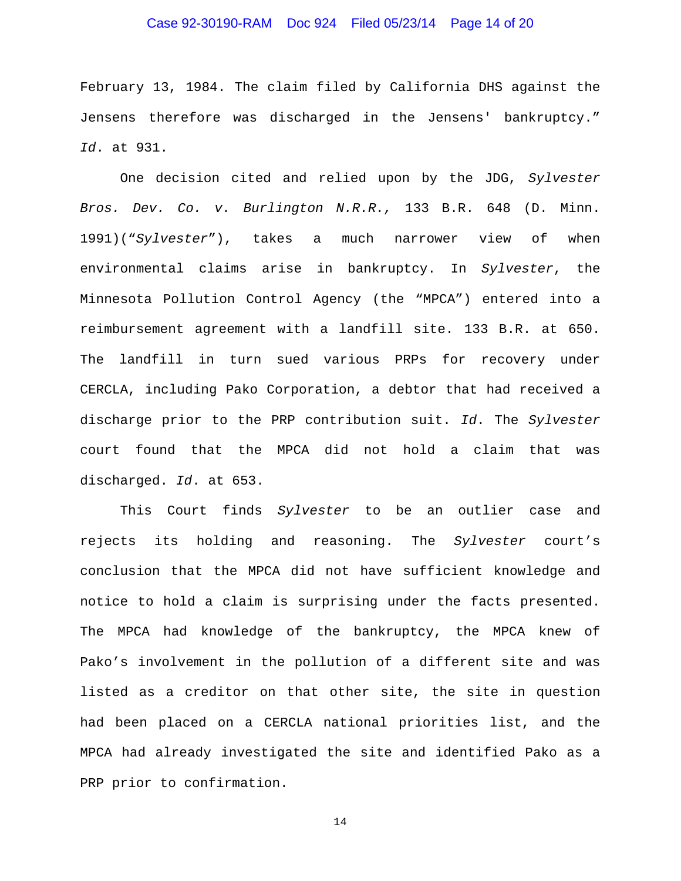## Case 92-30190-RAM Doc 924 Filed 05/23/14 Page 14 of 20

February 13, 1984. The claim filed by California DHS against the Jensens therefore was discharged in the Jensens' bankruptcy." *Id*. at 931.

One decision cited and relied upon by the JDG, *Sylvester Bros. Dev. Co. v. Burlington N.R.R.,* 133 B.R. 648 (D. Minn. 1991)("*Sylvester*"), takes a much narrower view of when environmental claims arise in bankruptcy. In *Sylvester*, the Minnesota Pollution Control Agency (the "MPCA") entered into a reimbursement agreement with a landfill site. 133 B.R. at 650. The landfill in turn sued various PRPs for recovery under CERCLA, including Pako Corporation, a debtor that had received a discharge prior to the PRP contribution suit. *Id*. The *Sylvester*  court found that the MPCA did not hold a claim that was discharged. *Id*. at 653.

This Court finds *Sylvester* to be an outlier case and rejects its holding and reasoning. The *Sylvester* court's conclusion that the MPCA did not have sufficient knowledge and notice to hold a claim is surprising under the facts presented. The MPCA had knowledge of the bankruptcy, the MPCA knew of Pako's involvement in the pollution of a different site and was listed as a creditor on that other site, the site in question had been placed on a CERCLA national priorities list, and the MPCA had already investigated the site and identified Pako as a PRP prior to confirmation.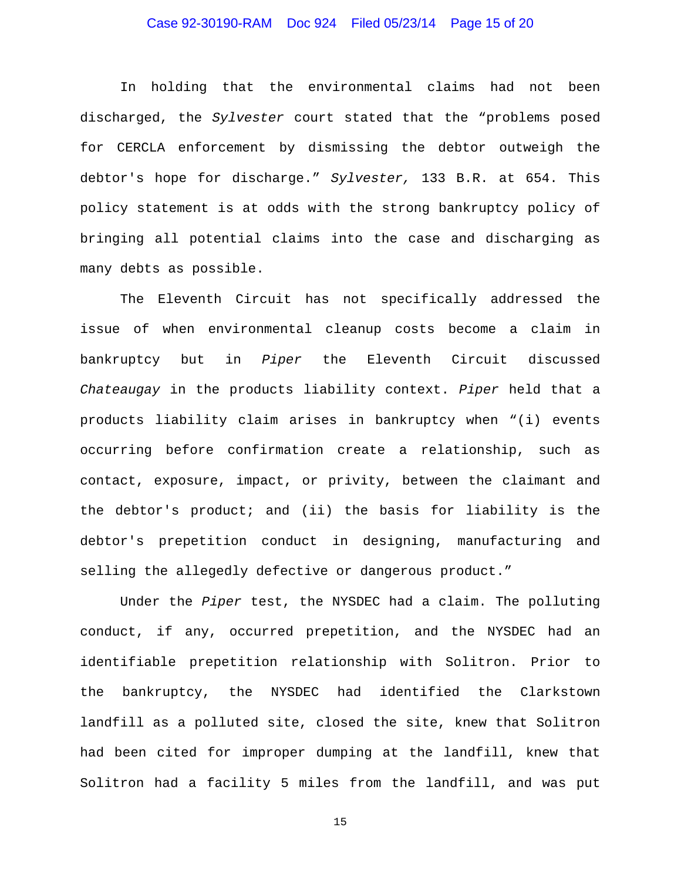## Case 92-30190-RAM Doc 924 Filed 05/23/14 Page 15 of 20

In holding that the environmental claims had not been discharged, the *Sylvester* court stated that the "problems posed for CERCLA enforcement by dismissing the debtor outweigh the debtor's hope for discharge." *Sylvester,* 133 B.R. at 654. This policy statement is at odds with the strong bankruptcy policy of bringing all potential claims into the case and discharging as many debts as possible.

The Eleventh Circuit has not specifically addressed the issue of when environmental cleanup costs become a claim in bankruptcy but in *Piper* the Eleventh Circuit discussed *Chateaugay* in the products liability context. *Piper* held that a products liability claim arises in bankruptcy when "(i) events occurring before confirmation create a relationship, such as contact, exposure, impact, or privity, between the claimant and the debtor's product; and (ii) the basis for liability is the debtor's prepetition conduct in designing, manufacturing and selling the allegedly defective or dangerous product."

Under the *Piper* test, the NYSDEC had a claim. The polluting conduct, if any, occurred prepetition, and the NYSDEC had an identifiable prepetition relationship with Solitron. Prior to the bankruptcy, the NYSDEC had identified the Clarkstown landfill as a polluted site, closed the site, knew that Solitron had been cited for improper dumping at the landfill, knew that Solitron had a facility 5 miles from the landfill, and was put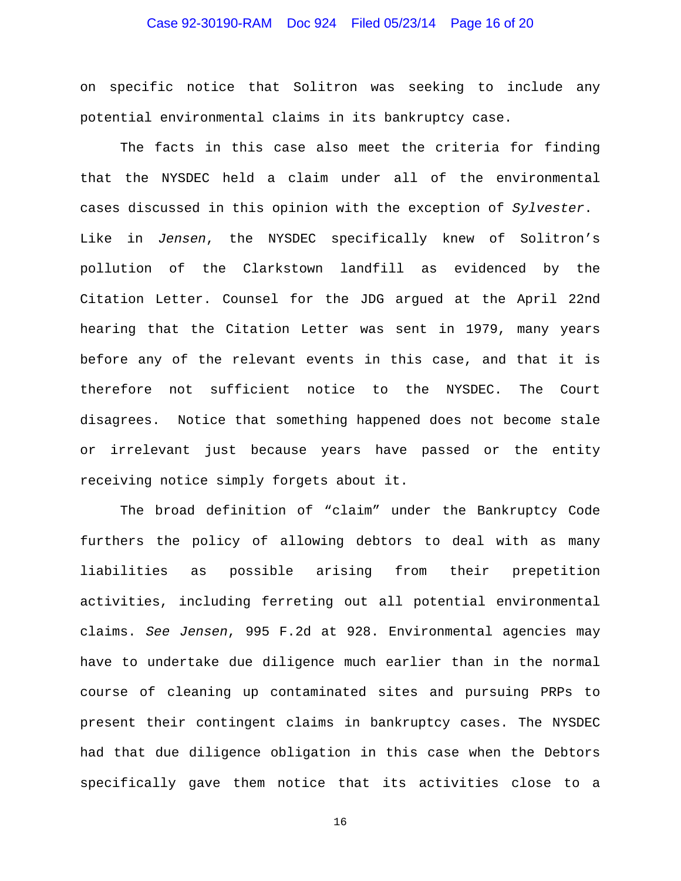## Case 92-30190-RAM Doc 924 Filed 05/23/14 Page 16 of 20

on specific notice that Solitron was seeking to include any potential environmental claims in its bankruptcy case.

The facts in this case also meet the criteria for finding that the NYSDEC held a claim under all of the environmental cases discussed in this opinion with the exception of *Sylvester*. Like in *Jensen*, the NYSDEC specifically knew of Solitron's pollution of the Clarkstown landfill as evidenced by the Citation Letter. Counsel for the JDG argued at the April 22nd hearing that the Citation Letter was sent in 1979, many years before any of the relevant events in this case, and that it is therefore not sufficient notice to the NYSDEC. The Court disagrees. Notice that something happened does not become stale or irrelevant just because years have passed or the entity receiving notice simply forgets about it.

 The broad definition of "claim" under the Bankruptcy Code furthers the policy of allowing debtors to deal with as many liabilities as possible arising from their prepetition activities, including ferreting out all potential environmental claims. *See Jensen*, 995 F.2d at 928. Environmental agencies may have to undertake due diligence much earlier than in the normal course of cleaning up contaminated sites and pursuing PRPs to present their contingent claims in bankruptcy cases. The NYSDEC had that due diligence obligation in this case when the Debtors specifically gave them notice that its activities close to a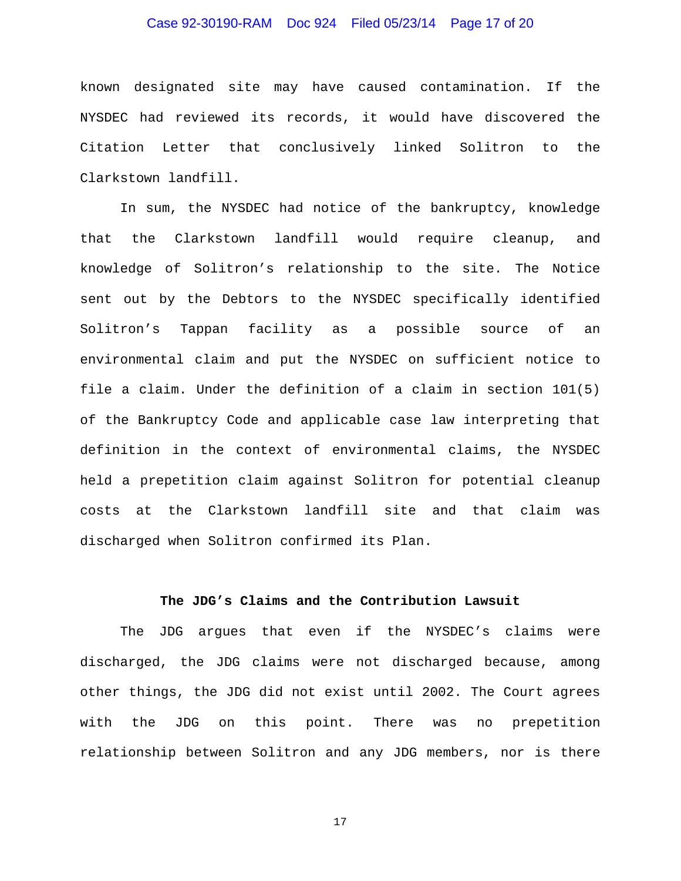## Case 92-30190-RAM Doc 924 Filed 05/23/14 Page 17 of 20

known designated site may have caused contamination. If the NYSDEC had reviewed its records, it would have discovered the Citation Letter that conclusively linked Solitron to the Clarkstown landfill.

 In sum, the NYSDEC had notice of the bankruptcy, knowledge that the Clarkstown landfill would require cleanup, and knowledge of Solitron's relationship to the site. The Notice sent out by the Debtors to the NYSDEC specifically identified Solitron's Tappan facility as a possible source of an environmental claim and put the NYSDEC on sufficient notice to file a claim. Under the definition of a claim in section 101(5) of the Bankruptcy Code and applicable case law interpreting that definition in the context of environmental claims, the NYSDEC held a prepetition claim against Solitron for potential cleanup costs at the Clarkstown landfill site and that claim was discharged when Solitron confirmed its Plan.

## **The JDG's Claims and the Contribution Lawsuit**

The JDG argues that even if the NYSDEC's claims were discharged, the JDG claims were not discharged because, among other things, the JDG did not exist until 2002. The Court agrees with the JDG on this point. There was no prepetition relationship between Solitron and any JDG members, nor is there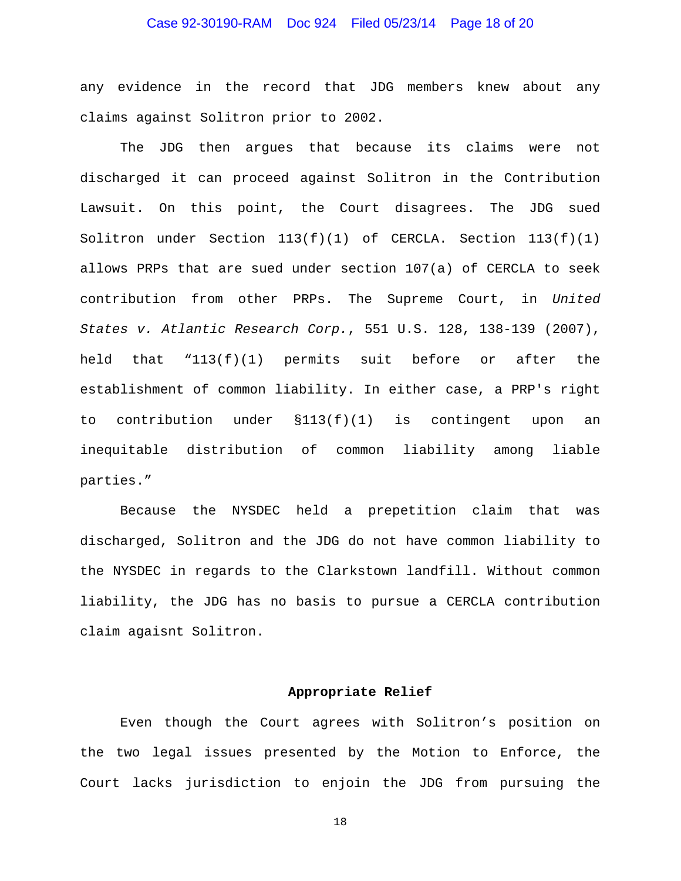## Case 92-30190-RAM Doc 924 Filed 05/23/14 Page 18 of 20

any evidence in the record that JDG members knew about any claims against Solitron prior to 2002.

 The JDG then argues that because its claims were not discharged it can proceed against Solitron in the Contribution Lawsuit. On this point, the Court disagrees. The JDG sued Solitron under Section 113(f)(1) of CERCLA. Section 113(f)(1) allows PRPs that are sued under section 107(a) of CERCLA to seek contribution from other PRPs. The Supreme Court, in *United States v. Atlantic Research Corp.*, 551 U.S. 128, 138-139 (2007), held that "113(f)(1) permits suit before or after the establishment of common liability. In either case, a PRP's right to contribution under §113(f)(1) is contingent upon an inequitable distribution of common liability among liable parties."

Because the NYSDEC held a prepetition claim that was discharged, Solitron and the JDG do not have common liability to the NYSDEC in regards to the Clarkstown landfill. Without common liability, the JDG has no basis to pursue a CERCLA contribution claim agaisnt Solitron.

### **Appropriate Relief**

Even though the Court agrees with Solitron's position on the two legal issues presented by the Motion to Enforce, the Court lacks jurisdiction to enjoin the JDG from pursuing the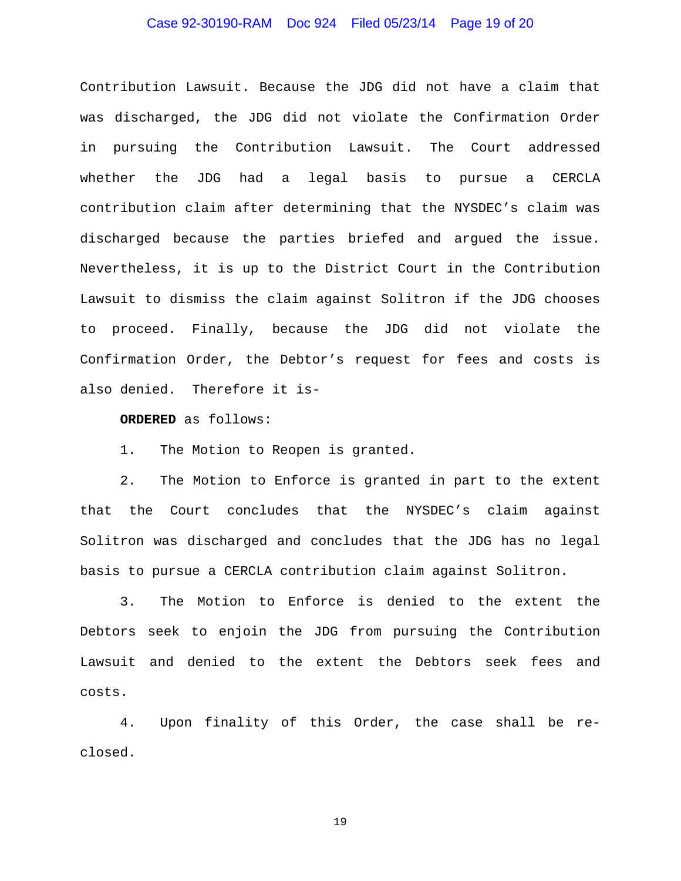## Case 92-30190-RAM Doc 924 Filed 05/23/14 Page 19 of 20

Contribution Lawsuit. Because the JDG did not have a claim that was discharged, the JDG did not violate the Confirmation Order in pursuing the Contribution Lawsuit. The Court addressed whether the JDG had a legal basis to pursue a CERCLA contribution claim after determining that the NYSDEC's claim was discharged because the parties briefed and argued the issue. Nevertheless, it is up to the District Court in the Contribution Lawsuit to dismiss the claim against Solitron if the JDG chooses to proceed. Finally, because the JDG did not violate the Confirmation Order, the Debtor's request for fees and costs is also denied. Therefore it is-

**ORDERED** as follows:

1. The Motion to Reopen is granted.

2. The Motion to Enforce is granted in part to the extent that the Court concludes that the NYSDEC's claim against Solitron was discharged and concludes that the JDG has no legal basis to pursue a CERCLA contribution claim against Solitron.

3. The Motion to Enforce is denied to the extent the Debtors seek to enjoin the JDG from pursuing the Contribution Lawsuit and denied to the extent the Debtors seek fees and costs.

4. Upon finality of this Order, the case shall be reclosed.